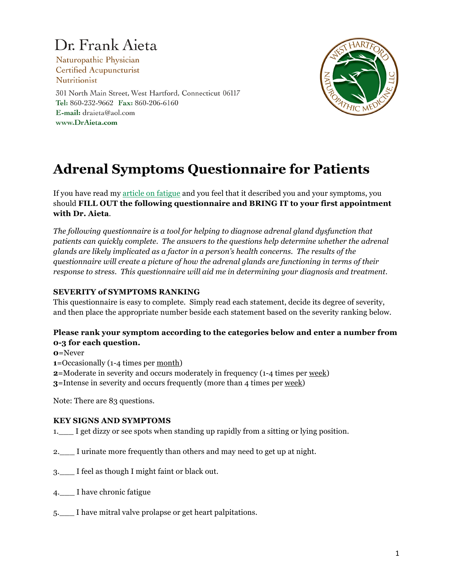# Dr. Frank Aieta

Naturopathic Physician **Certified Acupuncturist Nutritionist** 301 North Main Street, West Hartford, Connecticut 06117 Tel: 860-232-9662 Fax: 860-206-6160 E-mail: draieta@aol.com www.DrAieta.com



# **Adrenal Symptoms Questionnaire for Patients**

If you have read my [article on fatigue](http://www.draieta.com/articles_fatigue.html) and you feel that it described you and your symptoms, you should **FILL OUT the following questionnaire and BRING IT to your first appointment with Dr. Aieta**.

*The following questionnaire is a tool for helping to diagnose adrenal gland dysfunction that patients can quickly complete. The answers to the questions help determine whether the adrenal glands are likely implicated as a factor in a person's health concerns. The results of the questionnaire will create a picture of how the adrenal glands are functioning in terms of their response to stress. This questionnaire will aid me in determining your diagnosis and treatment.*

## **SEVERITY of SYMPTOMS RANKING**

This questionnaire is easy to complete. Simply read each statement, decide its degree of severity, and then place the appropriate number beside each statement based on the severity ranking below.

### **Please rank your symptom according to the categories below and enter a number from 0-3 for each question.**

**0**=Never

- **1**=Occasionally (1-4 times per month)
- **2**=Moderate in severity and occurs moderately in frequency (1-4 times per week)

**3**=Intense in severity and occurs frequently (more than 4 times per week)

Note: There are 83 questions.

### **KEY SIGNS AND SYMPTOMS**

1. I get dizzy or see spots when standing up rapidly from a sitting or lying position.

- 2. I urinate more frequently than others and may need to get up at night.
- 3.\_\_\_ I feel as though I might faint or black out.
- 4. I have chronic fatigue
- 5.\_\_\_ I have mitral valve prolapse or get heart palpitations.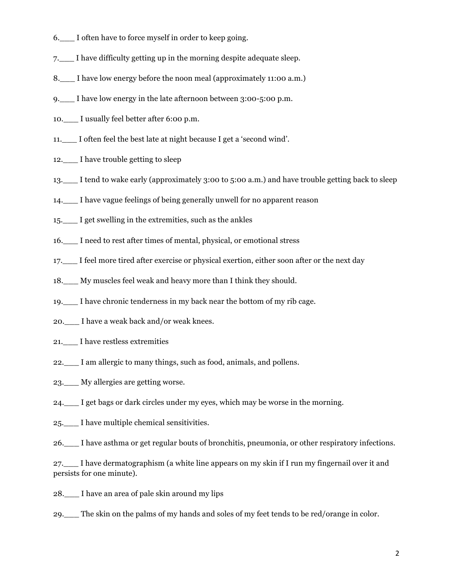- 6. I often have to force myself in order to keep going.
- 7.\_\_\_ I have difficulty getting up in the morning despite adequate sleep.
- 8. I have low energy before the noon meal (approximately 11:00 a.m.)
- 9.\_\_\_ I have low energy in the late afternoon between 3:00-5:00 p.m.
- 10. I usually feel better after 6:00 p.m.
- 11.\_\_\_ I often feel the best late at night because I get a 'second wind'.
- 12. I have trouble getting to sleep
- 13. I tend to wake early (approximately 3:00 to 5:00 a.m.) and have trouble getting back to sleep
- 14.\_\_\_ I have vague feelings of being generally unwell for no apparent reason
- 15.\_\_\_ I get swelling in the extremities, such as the ankles
- 16.\_\_\_ I need to rest after times of mental, physical, or emotional stress
- 17. I feel more tired after exercise or physical exertion, either soon after or the next day
- 18.\_\_\_ My muscles feel weak and heavy more than I think they should.
- 19.\_\_\_ I have chronic tenderness in my back near the bottom of my rib cage.
- 20. I have a weak back and/or weak knees.
- 21.\_\_\_ I have restless extremities
- 22.\_\_\_ I am allergic to many things, such as food, animals, and pollens.
- 23.\_\_\_ My allergies are getting worse.
- 24.\_\_\_ I get bags or dark circles under my eyes, which may be worse in the morning.
- 25.\_\_\_ I have multiple chemical sensitivities.
- 26.\_\_\_ I have asthma or get regular bouts of bronchitis, pneumonia, or other respiratory infections.

27.\_\_\_ I have dermatographism (a white line appears on my skin if I run my fingernail over it and persists for one minute).

- 28.\_\_\_ I have an area of pale skin around my lips
- 29.\_\_\_ The skin on the palms of my hands and soles of my feet tends to be red/orange in color.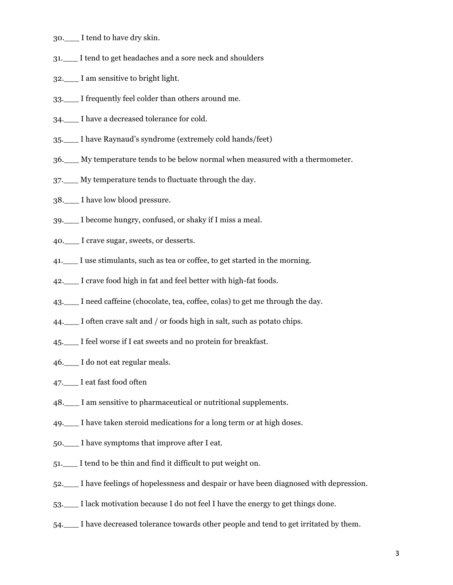- 30.\_\_\_ I tend to have dry skin.
- 31.\_\_\_ I tend to get headaches and a sore neck and shoulders
- 32.\_\_\_ I am sensitive to bright light.
- 33.\_\_\_ I frequently feel colder than others around me.
- 34.\_\_\_ I have a decreased tolerance for cold.
- 35.\_\_\_ I have Raynaud's syndrome (extremely cold hands/feet)
- 36.\_\_\_ My temperature tends to be below normal when measured with a thermometer.
- 37.\_\_\_ My temperature tends to fluctuate through the day.
- 38.\_\_\_ I have low blood pressure.
- 39.\_\_\_ I become hungry, confused, or shaky if I miss a meal.
- 40.\_\_\_ I crave sugar, sweets, or desserts.
- 41. I use stimulants, such as tea or coffee, to get started in the morning.
- 42.\_\_\_ I crave food high in fat and feel better with high-fat foods.
- 43.\_\_\_ I need caffeine (chocolate, tea, coffee, colas) to get me through the day.
- 44. I often crave salt and / or foods high in salt, such as potato chips.
- 45.\_\_\_ I feel worse if I eat sweets and no protein for breakfast.
- 46. I do not eat regular meals.
- 47.\_\_\_ I eat fast food often
- 48.\_\_\_ I am sensitive to pharmaceutical or nutritional supplements.
- 49.\_\_\_ I have taken steroid medications for a long term or at high doses.
- 50.\_\_\_ I have symptoms that improve after I eat.
- 51.\_\_\_ I tend to be thin and find it difficult to put weight on.
- 52.\_\_\_ I have feelings of hopelessness and despair or have been diagnosed with depression.
- 53.\_\_\_ I lack motivation because I do not feel I have the energy to get things done.
- 54.\_\_\_ I have decreased tolerance towards other people and tend to get irritated by them.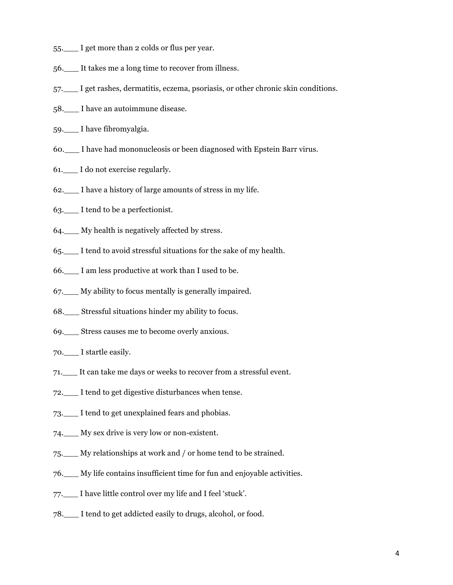- 55.\_\_\_ I get more than 2 colds or flus per year.
- 56.\_\_\_ It takes me a long time to recover from illness.
- 57.\_\_\_ I get rashes, dermatitis, eczema, psoriasis, or other chronic skin conditions.
- 58. I have an autoimmune disease.
- 59.\_\_\_ I have fibromyalgia.
- 60.\_\_\_ I have had mononucleosis or been diagnosed with Epstein Barr virus.
- 61.\_\_\_ I do not exercise regularly.
- 62.\_\_\_ I have a history of large amounts of stress in my life.
- 63.\_\_\_ I tend to be a perfectionist.
- 64.\_\_\_ My health is negatively affected by stress.
- 65.\_\_\_ I tend to avoid stressful situations for the sake of my health.
- 66.\_\_\_ I am less productive at work than I used to be.
- 67.\_\_\_ My ability to focus mentally is generally impaired.
- 68.\_\_\_ Stressful situations hinder my ability to focus.
- 69.\_\_\_ Stress causes me to become overly anxious.
- 70.\_\_\_ I startle easily.
- 71.\_\_\_ It can take me days or weeks to recover from a stressful event.
- 72.\_\_\_ I tend to get digestive disturbances when tense.
- 73.\_\_\_ I tend to get unexplained fears and phobias.
- 74.\_\_\_ My sex drive is very low or non-existent.
- 75.\_\_\_ My relationships at work and / or home tend to be strained.
- 76.\_\_\_ My life contains insufficient time for fun and enjoyable activities.
- 77.\_\_\_ I have little control over my life and I feel 'stuck'.
- 78.\_\_\_ I tend to get addicted easily to drugs, alcohol, or food.